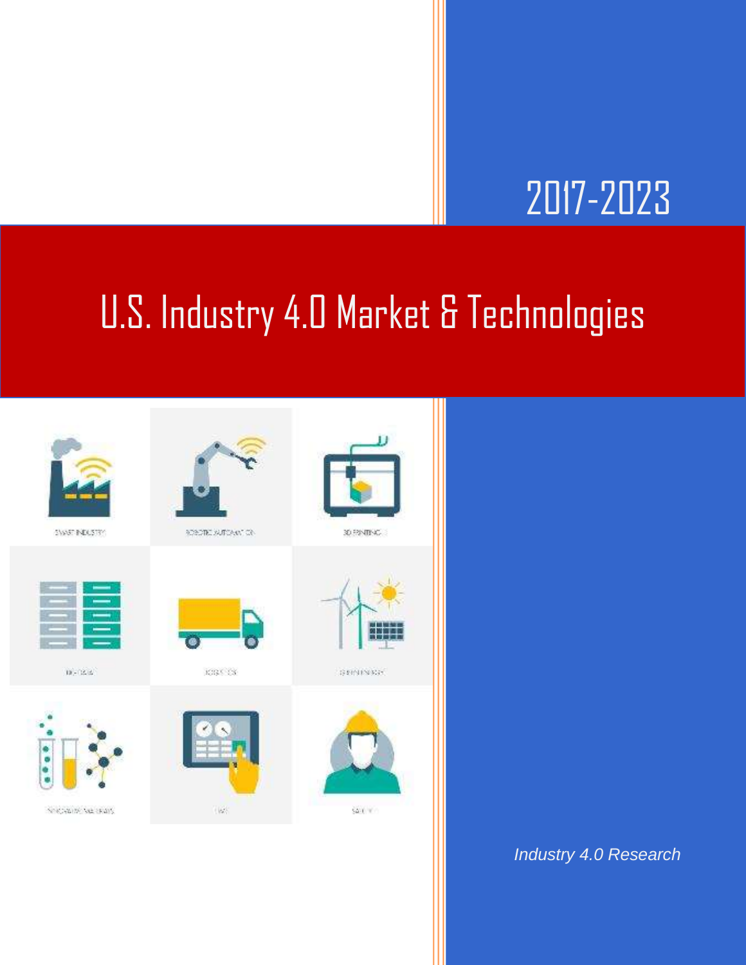## 2017-2023

## U.S. Industry 4.0 Market & Technologies



*Industry 4.0 Research*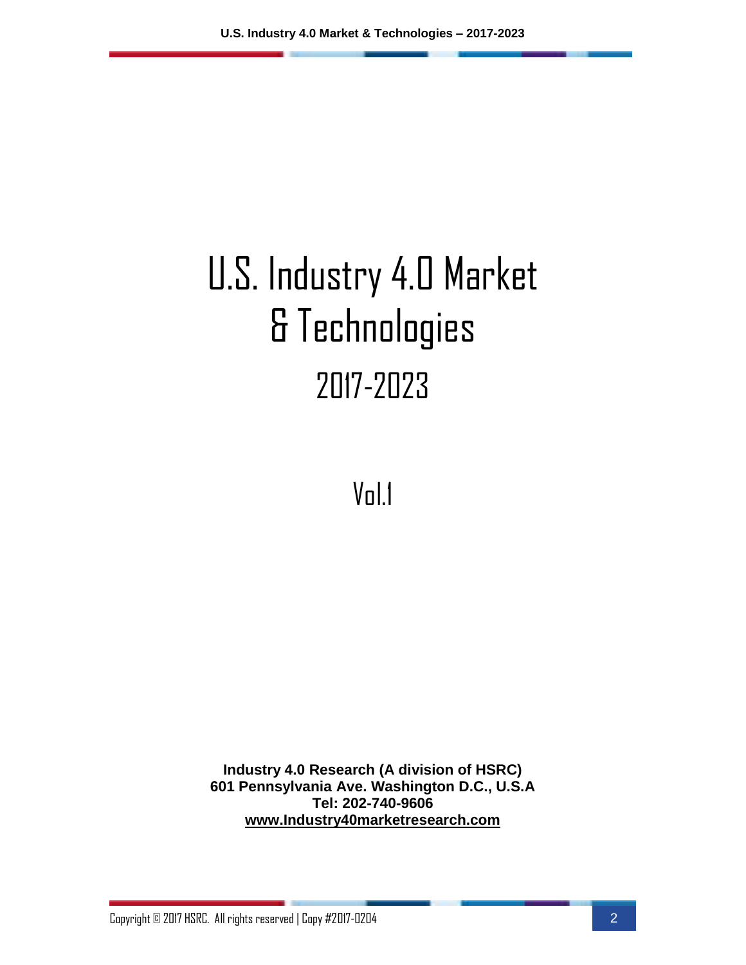# U.S. Industry 4.0 Market & Technologies 2017-2023

Vol.1

**Industry 4.0 Research (A division of HSRC) 601 Pennsylvania Ave. Washington D.C., U.S.A Tel: 202-740-9606 [www.Industry40marketresearch.com](http://www.industry40marketresearch.com/)**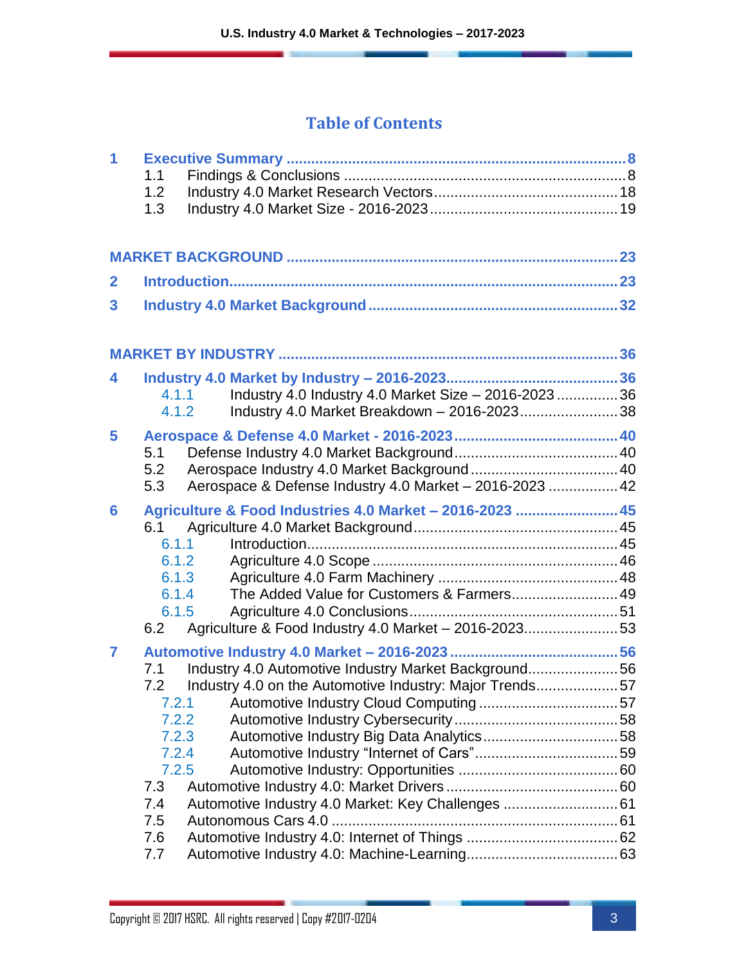#### **Table of Contents**

| 1                       | 1.1<br>1.2<br>1.3                                                                          |                                                                                                                                                                       |  |
|-------------------------|--------------------------------------------------------------------------------------------|-----------------------------------------------------------------------------------------------------------------------------------------------------------------------|--|
|                         |                                                                                            |                                                                                                                                                                       |  |
| $\mathbf{2}$            |                                                                                            |                                                                                                                                                                       |  |
| $\overline{\mathbf{3}}$ |                                                                                            |                                                                                                                                                                       |  |
|                         |                                                                                            |                                                                                                                                                                       |  |
| 4                       | 4.1.1<br>4.1.2                                                                             | Industry 4.0 Industry 4.0 Market Size - 2016-2023  36<br>Industry 4.0 Market Breakdown - 2016-202338                                                                  |  |
| 5                       | 5.1<br>5.2<br>5.3                                                                          | Aerospace & Defense Industry 4.0 Market - 2016-2023  42                                                                                                               |  |
| 6                       | 6.1<br>6.1.1<br>6.1.2<br>6.1.3<br>6.1.4<br>6.1.5<br>6.2                                    | Agriculture & Food Industries 4.0 Market - 2016-2023  45<br>The Added Value for Customers & Farmers 49<br>Agriculture & Food Industry 4.0 Market - 2016-202353        |  |
| $\overline{7}$          | 7.1<br>7.2<br>7.2.1<br>7.2.2<br>7.2.3<br>7.2.4<br>7.2.5<br>7.3<br>7.4<br>7.5<br>7.6<br>7.7 | Industry 4.0 Automotive Industry Market Background56<br>Industry 4.0 on the Automotive Industry: Major Trends57<br>Automotive Industry 4.0 Market: Key Challenges  61 |  |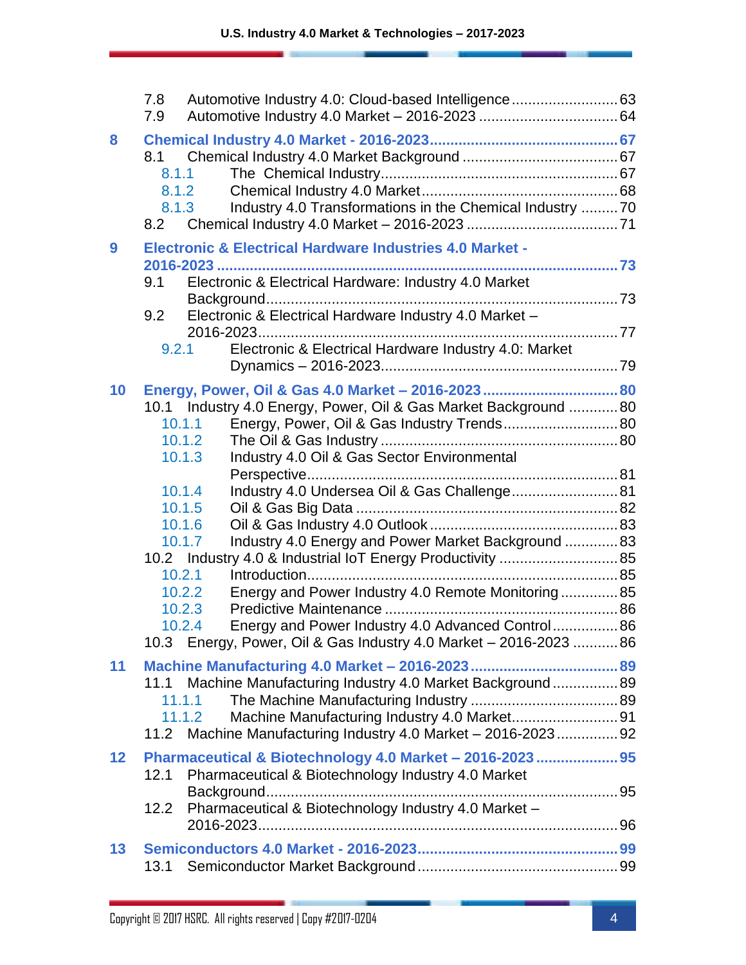|                  | 7.8<br>Automotive Industry 4.0: Cloud-based Intelligence 63<br>7.9                                                                                                                                                                                                                                                                                                                                                                |  |
|------------------|-----------------------------------------------------------------------------------------------------------------------------------------------------------------------------------------------------------------------------------------------------------------------------------------------------------------------------------------------------------------------------------------------------------------------------------|--|
| 8                | 8.1<br>8.1.1<br>8.1.2<br>Industry 4.0 Transformations in the Chemical Industry 70<br>8.1.3<br>8.2                                                                                                                                                                                                                                                                                                                                 |  |
| $\boldsymbol{9}$ | <b>Electronic &amp; Electrical Hardware Industries 4.0 Market -</b><br>Electronic & Electrical Hardware: Industry 4.0 Market<br>9.1<br>Electronic & Electrical Hardware Industry 4.0 Market -<br>9.2<br>Electronic & Electrical Hardware Industry 4.0: Market<br>9.2.1                                                                                                                                                            |  |
| 10               | Energy, Power, Oil & Gas 4.0 Market - 2016-2023  80<br>10.1 Industry 4.0 Energy, Power, Oil & Gas Market Background 80<br>Energy, Power, Oil & Gas Industry Trends 80<br>10.1.1<br>10.1.2<br>Industry 4.0 Oil & Gas Sector Environmental<br>10.1.3                                                                                                                                                                                |  |
|                  | Industry 4.0 Undersea Oil & Gas Challenge 81<br>10.1.4<br>10.1.5<br>10.1.6<br>Industry 4.0 Energy and Power Market Background  83<br>10.1.7<br>10.2 Industry 4.0 & Industrial IoT Energy Productivity  85<br>10.2.1<br>Energy and Power Industry 4.0 Remote Monitoring 85<br>10.2.2<br>10.2.3<br>Energy and Power Industry 4.0 Advanced Control 86<br>10.2.4<br>10.3 Energy, Power, Oil & Gas Industry 4.0 Market - 2016-2023  86 |  |
| 11               | 11.1 Machine Manufacturing Industry 4.0 Market Background 89<br>11.1.1<br>Machine Manufacturing Industry 4.0 Market91<br>11.1.2<br>11.2 Machine Manufacturing Industry 4.0 Market - 2016-2023 92                                                                                                                                                                                                                                  |  |
| 12               | Pharmaceutical & Biotechnology 4.0 Market - 2016-2023  95<br>Pharmaceutical & Biotechnology Industry 4.0 Market<br>12.1<br>Pharmaceutical & Biotechnology Industry 4.0 Market -<br>12.2                                                                                                                                                                                                                                           |  |
| 13               | 13.1                                                                                                                                                                                                                                                                                                                                                                                                                              |  |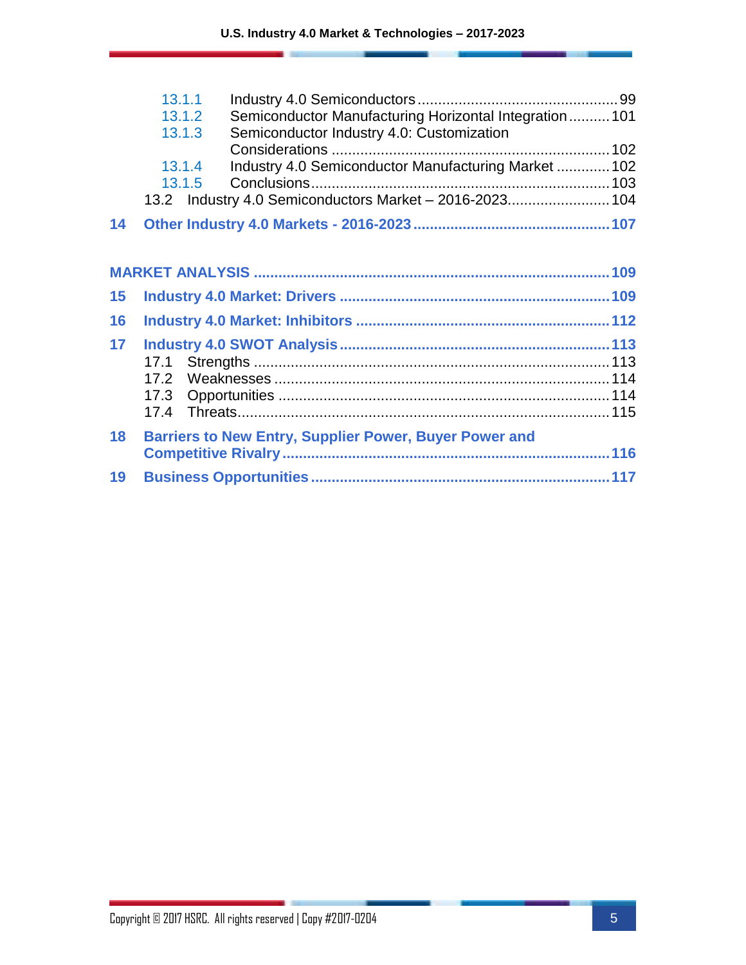|    | 13.1.1                                                            |  |
|----|-------------------------------------------------------------------|--|
|    | Semiconductor Manufacturing Horizontal Integration  101<br>13.1.2 |  |
|    | Semiconductor Industry 4.0: Customization<br>13.1.3               |  |
|    |                                                                   |  |
|    | Industry 4.0 Semiconductor Manufacturing Market  102<br>13.1.4    |  |
|    | 13.1.5                                                            |  |
|    | 13.2 Industry 4.0 Semiconductors Market - 2016-2023 104           |  |
| 14 |                                                                   |  |
|    |                                                                   |  |
| 15 |                                                                   |  |
| 16 |                                                                   |  |
| 17 |                                                                   |  |
|    |                                                                   |  |
|    | 17.2                                                              |  |
|    |                                                                   |  |
|    |                                                                   |  |
| 18 | <b>Barriers to New Entry, Supplier Power, Buyer Power and</b>     |  |
|    |                                                                   |  |
| 19 |                                                                   |  |
|    |                                                                   |  |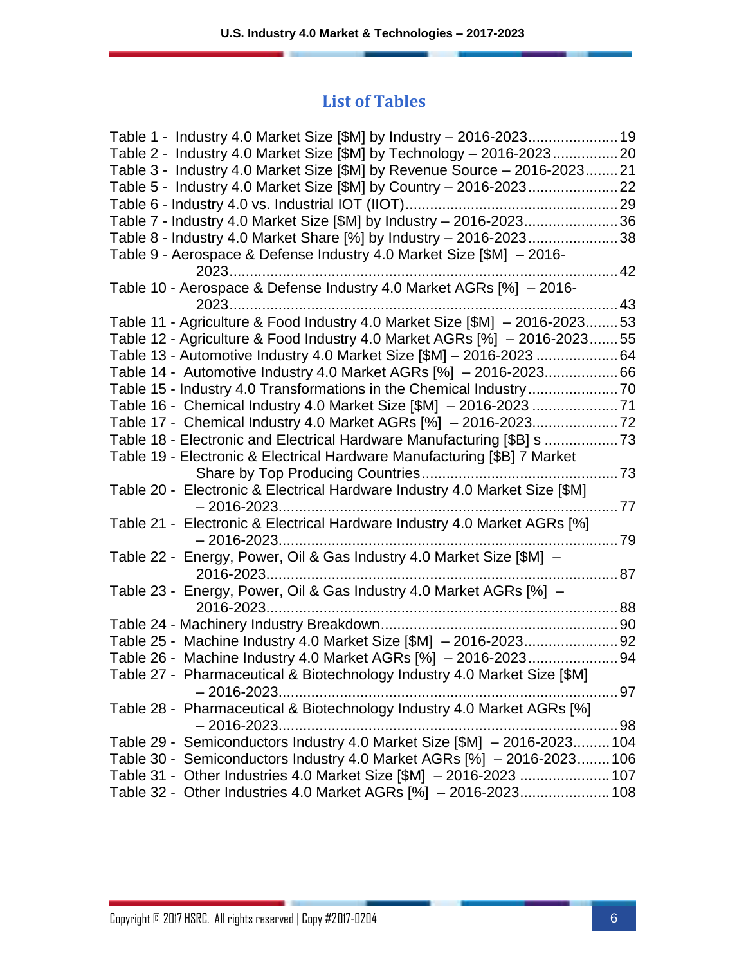#### **List of Tables**

| Table 2 - Industry 4.0 Market Size [\$M] by Technology – 2016-202320       |        |
|----------------------------------------------------------------------------|--------|
| Table 3 - Industry 4.0 Market Size [\$M] by Revenue Source - 2016-202321   |        |
|                                                                            |        |
|                                                                            |        |
| Table 7 - Industry 4.0 Market Size [\$M] by Industry - 2016-202336         |        |
| Table 8 - Industry 4.0 Market Share [%] by Industry - 2016-202338          |        |
| Table 9 - Aerospace & Defense Industry 4.0 Market Size [\$M] - 2016-       |        |
| . 42                                                                       |        |
| Table 10 - Aerospace & Defense Industry 4.0 Market AGRs [%] - 2016-        |        |
|                                                                            | 43     |
| Table 11 - Agriculture & Food Industry 4.0 Market Size [\$M] - 2016-202353 |        |
| Table 12 - Agriculture & Food Industry 4.0 Market AGRs [%] - 2016-202355   |        |
| Table 13 - Automotive Industry 4.0 Market Size [\$M] - 2016-2023 64        |        |
| Table 14 - Automotive Industry 4.0 Market AGRs [%] - 2016-202366           |        |
|                                                                            |        |
|                                                                            |        |
|                                                                            |        |
| Table 18 - Electronic and Electrical Hardware Manufacturing [\$B] s        |        |
| Table 19 - Electronic & Electrical Hardware Manufacturing [\$B] 7 Market   |        |
|                                                                            | 73     |
| Table 20 - Electronic & Electrical Hardware Industry 4.0 Market Size [\$M] |        |
|                                                                            |        |
| Table 21 - Electronic & Electrical Hardware Industry 4.0 Market AGRs [%]   |        |
|                                                                            |        |
| Table 22 - Energy, Power, Oil & Gas Industry 4.0 Market Size [\$M] -       |        |
| 2016-2023<br>87                                                            |        |
| Table 23 - Energy, Power, Oil & Gas Industry 4.0 Market AGRs [%] -         |        |
|                                                                            |        |
|                                                                            |        |
|                                                                            |        |
|                                                                            |        |
| Table 27 - Pharmaceutical & Biotechnology Industry 4.0 Market Size [\$M]   |        |
|                                                                            | ……. 97 |
| Table 28 - Pharmaceutical & Biotechnology Industry 4.0 Market AGRs [%]     |        |
| $-2016 - 2023$                                                             |        |
| Table 29 - Semiconductors Industry 4.0 Market Size [\$M] - 2016-2023 104   |        |
| Table 30 - Semiconductors Industry 4.0 Market AGRs [%] - 2016-2023106      |        |
| Table 31 - Other Industries 4.0 Market Size [\$M] - 2016-2023  107         |        |
| Table 32 - Other Industries 4.0 Market AGRs [%] - 2016-2023 108            |        |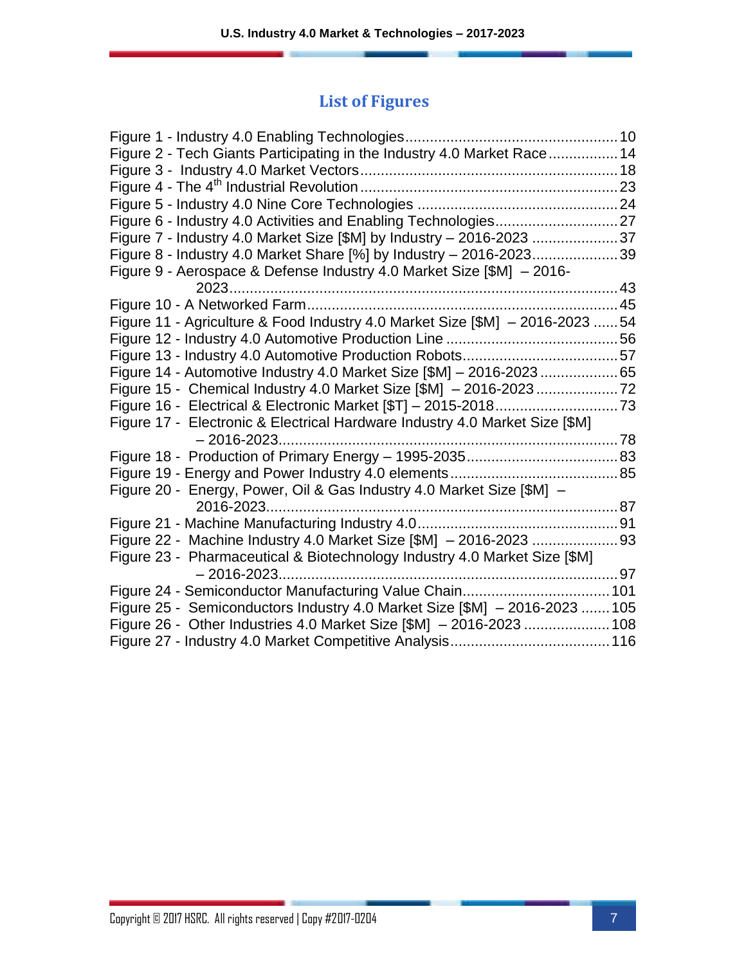### **List of Figures**

| Figure 2 - Tech Giants Participating in the Industry 4.0 Market Race 14       |  |
|-------------------------------------------------------------------------------|--|
|                                                                               |  |
|                                                                               |  |
|                                                                               |  |
|                                                                               |  |
| Figure 7 - Industry 4.0 Market Size [\$M] by Industry - 2016-2023 37          |  |
| Figure 8 - Industry 4.0 Market Share [%] by Industry - 2016-202339            |  |
| Figure 9 - Aerospace & Defense Industry 4.0 Market Size [\$M] - 2016-         |  |
|                                                                               |  |
|                                                                               |  |
| Figure 11 - Agriculture & Food Industry 4.0 Market Size [\$M] - 2016-2023  54 |  |
|                                                                               |  |
|                                                                               |  |
|                                                                               |  |
|                                                                               |  |
|                                                                               |  |
| Figure 17 - Electronic & Electrical Hardware Industry 4.0 Market Size [\$M]   |  |
|                                                                               |  |
|                                                                               |  |
|                                                                               |  |
| Figure 20 - Energy, Power, Oil & Gas Industry 4.0 Market Size [\$M] -         |  |
|                                                                               |  |
|                                                                               |  |
|                                                                               |  |
| Figure 23 - Pharmaceutical & Biotechnology Industry 4.0 Market Size [\$M]     |  |
|                                                                               |  |
|                                                                               |  |
| Figure 25 - Semiconductors Industry 4.0 Market Size [\$M] - 2016-2023  105    |  |
| Figure 26 - Other Industries 4.0 Market Size [\$M] - 2016-2023  108           |  |
|                                                                               |  |
|                                                                               |  |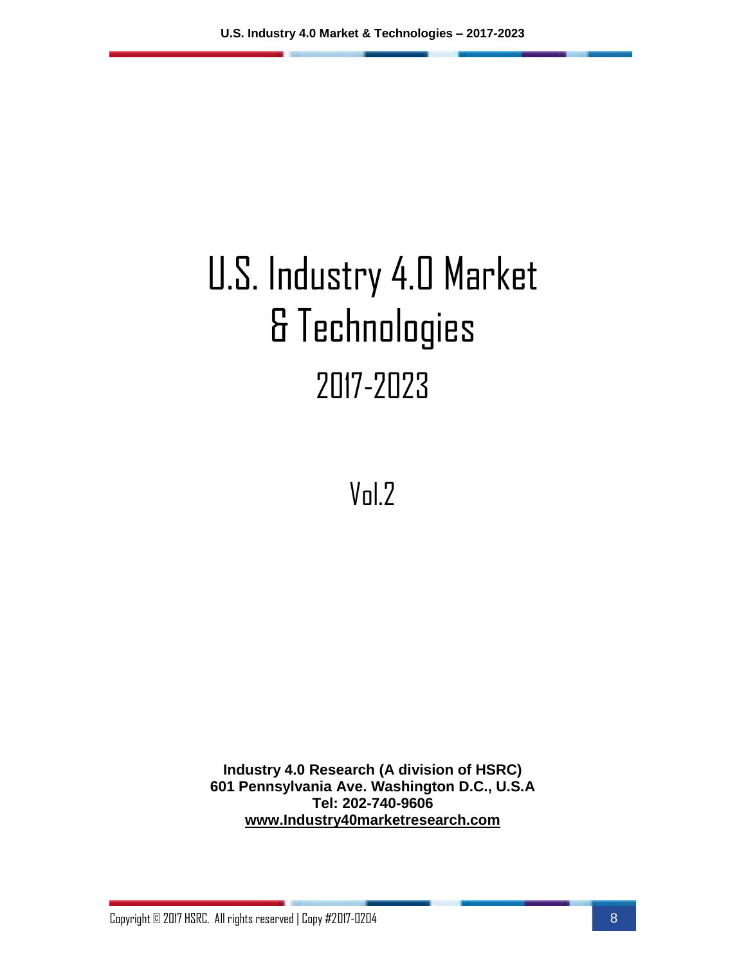# U.S. Industry 4.0 Market & Technologies 2017-2023

Vol.2

**Industry 4.0 Research (A division of HSRC) 601 Pennsylvania Ave. Washington D.C., U.S.A Tel: 202-740-9606 [www.Industry40marketresearch.com](http://www.industry40marketresearch.com/)**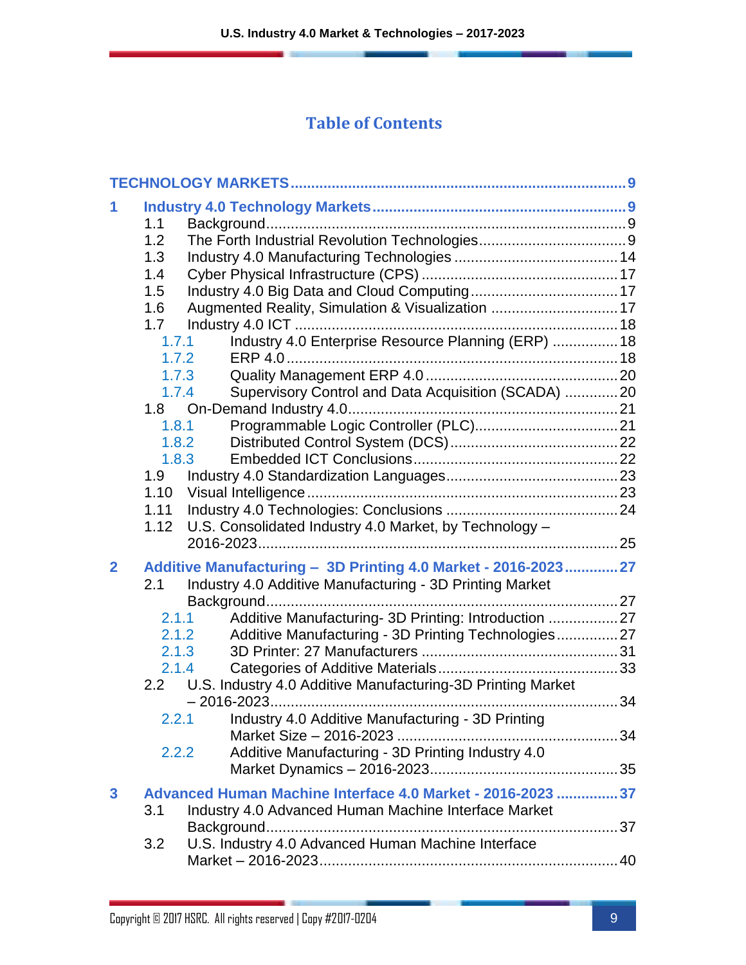#### **Table of Contents**

| 1<br>1.1<br>1.2<br>1.3<br>1.4<br>1.5<br>Augmented Reality, Simulation & Visualization  17<br>1.6<br>1.7<br>Industry 4.0 Enterprise Resource Planning (ERP)  18<br>1.7.1<br>1.7.2<br>1.7.3<br>Supervisory Control and Data Acquisition (SCADA) 20<br>1.7.4<br>1.8.1<br>1.8.2<br>1.8.3<br>1.9 <sup>°</sup><br>U.S. Consolidated Industry 4.0 Market, by Technology -<br>1.12<br>Additive Manufacturing - 3D Printing 4.0 Market - 2016-2023 27<br>$\mathbf{2}$<br>Industry 4.0 Additive Manufacturing - 3D Printing Market<br>2.1<br>Additive Manufacturing- 3D Printing: Introduction  27<br>2.1.1<br>Additive Manufacturing - 3D Printing Technologies 27<br>2.1.2<br>2.1.3<br>2.1.4<br>2.2 U.S. Industry 4.0 Additive Manufacturing-3D Printing Market<br>2.2.1 Industry 4.0 Additive Manufacturing - 3D Printing<br>Additive Manufacturing - 3D Printing Industry 4.0<br>2.2.2<br>Advanced Human Machine Interface 4.0 Market - 2016-2023 37<br>3 |     |                                                      |  |
|-----------------------------------------------------------------------------------------------------------------------------------------------------------------------------------------------------------------------------------------------------------------------------------------------------------------------------------------------------------------------------------------------------------------------------------------------------------------------------------------------------------------------------------------------------------------------------------------------------------------------------------------------------------------------------------------------------------------------------------------------------------------------------------------------------------------------------------------------------------------------------------------------------------------------------------------------------|-----|------------------------------------------------------|--|
|                                                                                                                                                                                                                                                                                                                                                                                                                                                                                                                                                                                                                                                                                                                                                                                                                                                                                                                                                     |     |                                                      |  |
|                                                                                                                                                                                                                                                                                                                                                                                                                                                                                                                                                                                                                                                                                                                                                                                                                                                                                                                                                     |     |                                                      |  |
| U.S. Industry 4.0 Advanced Human Machine Interface<br>3.2                                                                                                                                                                                                                                                                                                                                                                                                                                                                                                                                                                                                                                                                                                                                                                                                                                                                                           | 3.1 | Industry 4.0 Advanced Human Machine Interface Market |  |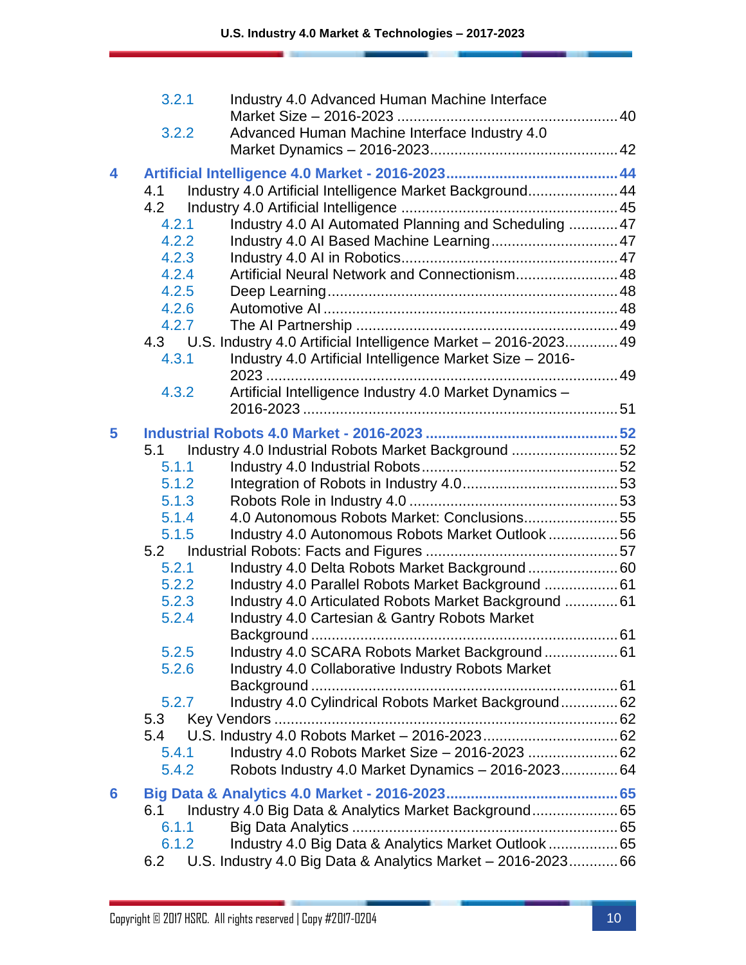|   | 3.2.1          | Industry 4.0 Advanced Human Machine Interface                       |    |
|---|----------------|---------------------------------------------------------------------|----|
|   | 3.2.2          | Advanced Human Machine Interface Industry 4.0                       |    |
|   |                |                                                                     |    |
| 4 |                |                                                                     |    |
|   | 4.1            | Industry 4.0 Artificial Intelligence Market Background 44           |    |
|   | 4.2            |                                                                     |    |
|   | 4.2.1          | Industry 4.0 AI Automated Planning and Scheduling  47               |    |
|   | 4.2.2          |                                                                     |    |
|   | 4.2.3          |                                                                     |    |
|   | 4.2.4          | Artificial Neural Network and Connectionism 48                      |    |
|   | 4.2.5          |                                                                     |    |
|   | 4.2.6          |                                                                     |    |
|   | 4.2.7          |                                                                     |    |
|   |                | 4.3 U.S. Industry 4.0 Artificial Intelligence Market - 2016-2023 49 |    |
|   | 4.3.1          | Industry 4.0 Artificial Intelligence Market Size - 2016-            |    |
|   |                |                                                                     |    |
|   | 4.3.2          | Artificial Intelligence Industry 4.0 Market Dynamics -              |    |
|   |                |                                                                     |    |
| 5 |                |                                                                     |    |
|   | 5.1            | Industry 4.0 Industrial Robots Market Background 52                 |    |
|   | 5.1.1          |                                                                     |    |
|   | 5.1.2          |                                                                     |    |
|   | 5.1.3          |                                                                     |    |
|   | 5.1.4          | 4.0 Autonomous Robots Market: Conclusions55                         |    |
|   | 5.1.5          | Industry 4.0 Autonomous Robots Market Outlook56                     |    |
|   |                |                                                                     |    |
|   | 5.2.1          | Industry 4.0 Delta Robots Market Background 60                      |    |
|   | 5.2.2          | Industry 4.0 Parallel Robots Market Background  61                  |    |
|   | 5.2.3          | Industry 4.0 Articulated Robots Market Background  61               |    |
|   | 5.2.4          | Industry 4.0 Cartesian & Gantry Robots Market                       |    |
|   |                |                                                                     | 61 |
|   | 5.2.5<br>5.2.6 | Industry 4.0 SCARA Robots Market Background 61                      |    |
|   |                | Industry 4.0 Collaborative Industry Robots Market                   |    |
|   | 5.2.7          | Industry 4.0 Cylindrical Robots Market Background 62                |    |
|   | 5.3            |                                                                     |    |
|   | 5.4            |                                                                     |    |
|   | 5.4.1          | Industry 4.0 Robots Market Size - 2016-2023  62                     |    |
|   | 5.4.2          | Robots Industry 4.0 Market Dynamics - 2016-2023 64                  |    |
|   |                |                                                                     |    |
| 6 |                |                                                                     |    |
|   | 6.1            |                                                                     |    |
|   | 6.1.1          |                                                                     |    |
|   | 6.1.2          | Industry 4.0 Big Data & Analytics Market Outlook  65                |    |
|   | 6.2            | U.S. Industry 4.0 Big Data & Analytics Market - 2016-2023 66        |    |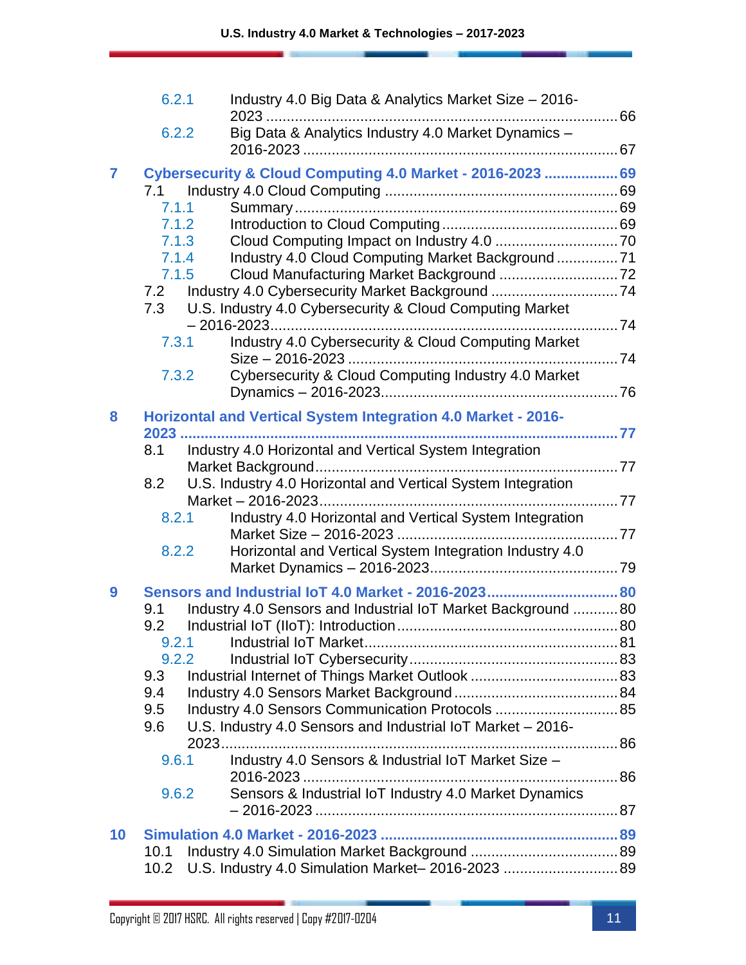|                 | 6.2.1 | Industry 4.0 Big Data & Analytics Market Size - 2016-                |  |
|-----------------|-------|----------------------------------------------------------------------|--|
|                 | 6.2.2 | Big Data & Analytics Industry 4.0 Market Dynamics -                  |  |
|                 |       |                                                                      |  |
| $\overline{7}$  | 7.1   | Cybersecurity & Cloud Computing 4.0 Market - 2016-2023  69           |  |
|                 | 7.1.1 |                                                                      |  |
|                 | 7.1.2 |                                                                      |  |
|                 | 7.1.3 |                                                                      |  |
|                 | 7.1.4 | Industry 4.0 Cloud Computing Market Background 71                    |  |
|                 | 7.1.5 |                                                                      |  |
|                 | 7.2   |                                                                      |  |
|                 | 7.3   | U.S. Industry 4.0 Cybersecurity & Cloud Computing Market             |  |
|                 | 7.3.1 | Industry 4.0 Cybersecurity & Cloud Computing Market                  |  |
|                 | 7.3.2 | Cybersecurity & Cloud Computing Industry 4.0 Market                  |  |
|                 |       |                                                                      |  |
| 8               |       | <b>Horizontal and Vertical System Integration 4.0 Market - 2016-</b> |  |
|                 | 8.1   | Industry 4.0 Horizontal and Vertical System Integration              |  |
|                 |       |                                                                      |  |
|                 | 8.2   | U.S. Industry 4.0 Horizontal and Vertical System Integration         |  |
|                 |       |                                                                      |  |
|                 | 8.2.1 | Industry 4.0 Horizontal and Vertical System Integration              |  |
|                 | 8.2.2 | Horizontal and Vertical System Integration Industry 4.0              |  |
|                 |       |                                                                      |  |
|                 |       | Sensors and Industrial IoT 4.0 Market - 2016-2023 80                 |  |
| 9               | 9.1   |                                                                      |  |
|                 | 9.2   | Industry 4.0 Sensors and Industrial IoT Market Background  80        |  |
|                 |       |                                                                      |  |
|                 | 9.2.2 |                                                                      |  |
|                 | 9.3   |                                                                      |  |
|                 | 9.4   |                                                                      |  |
|                 | 9.5   | Industry 4.0 Sensors Communication Protocols  85                     |  |
|                 | 9.6   | U.S. Industry 4.0 Sensors and Industrial IoT Market - 2016-          |  |
|                 |       |                                                                      |  |
|                 | 9.6.1 | Industry 4.0 Sensors & Industrial IoT Market Size -                  |  |
|                 | 9.6.2 | Sensors & Industrial IoT Industry 4.0 Market Dynamics                |  |
|                 |       |                                                                      |  |
| 10 <sup>°</sup> |       |                                                                      |  |
|                 | 10.1  |                                                                      |  |
|                 | 10.2  | U.S. Industry 4.0 Simulation Market-2016-2023 89                     |  |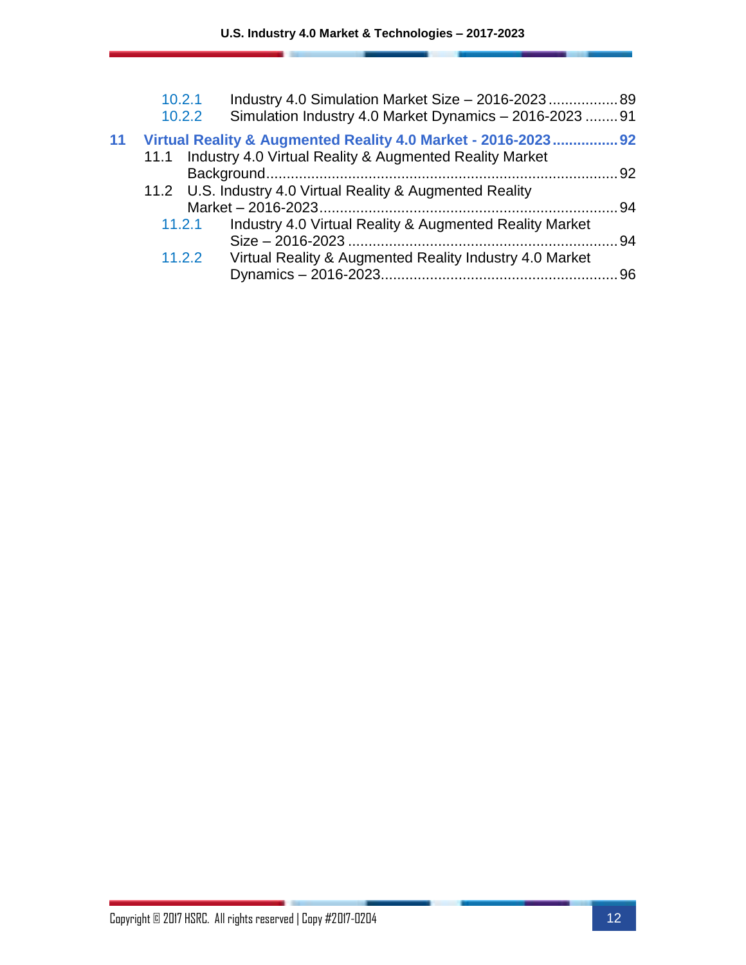|    | 10.2.1<br>Industry 4.0 Simulation Market Size - 2016-2023 89<br>Simulation Industry 4.0 Market Dynamics - 2016-2023  91<br>10.2.2 |  |
|----|-----------------------------------------------------------------------------------------------------------------------------------|--|
| 11 | Virtual Reality & Augmented Reality 4.0 Market - 2016-2023 92                                                                     |  |
|    | Industry 4.0 Virtual Reality & Augmented Reality Market<br>11.1                                                                   |  |
|    |                                                                                                                                   |  |
|    | 11.2 U.S. Industry 4.0 Virtual Reality & Augmented Reality                                                                        |  |
|    |                                                                                                                                   |  |
|    | Industry 4.0 Virtual Reality & Augmented Reality Market<br>11.2.1                                                                 |  |
|    |                                                                                                                                   |  |
|    | 11.2.2<br>Virtual Reality & Augmented Reality Industry 4.0 Market                                                                 |  |
|    |                                                                                                                                   |  |
|    |                                                                                                                                   |  |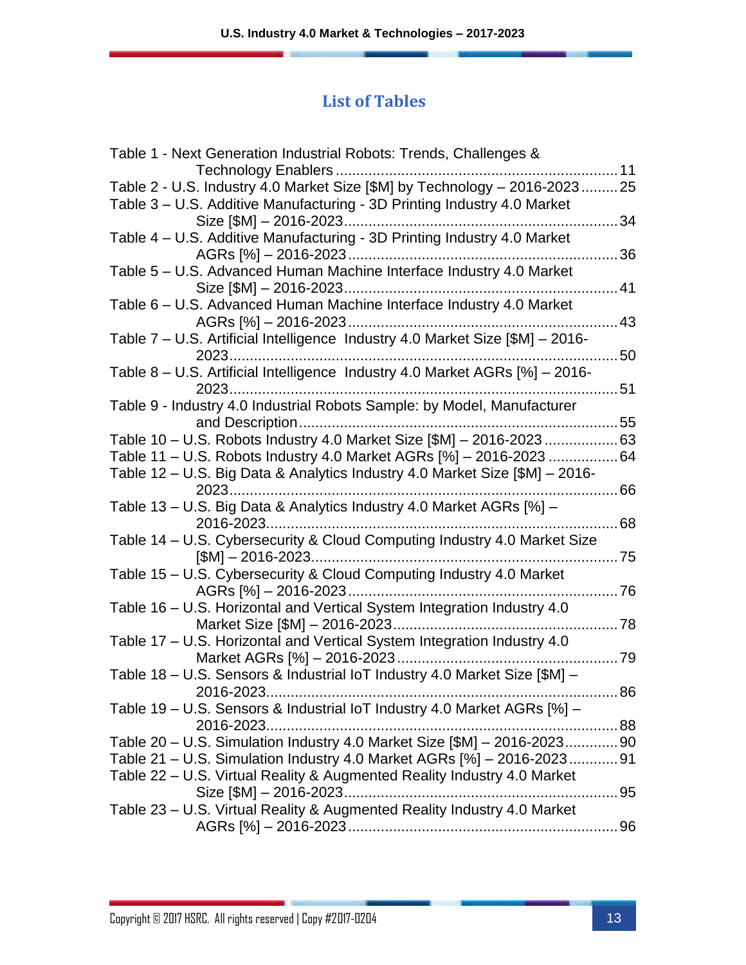#### **List of Tables**

| Table 1 - Next Generation Industrial Robots: Trends, Challenges &             |    |
|-------------------------------------------------------------------------------|----|
|                                                                               | 11 |
| Table 2 - U.S. Industry 4.0 Market Size [\$M] by Technology - 2016-202325     |    |
| Table 3 - U.S. Additive Manufacturing - 3D Printing Industry 4.0 Market       |    |
| Size [\$M] - 2016-2023                                                        | 34 |
| Table 4 - U.S. Additive Manufacturing - 3D Printing Industry 4.0 Market       |    |
|                                                                               | 36 |
| Table 5 - U.S. Advanced Human Machine Interface Industry 4.0 Market           |    |
|                                                                               | 41 |
| Table 6 - U.S. Advanced Human Machine Interface Industry 4.0 Market           |    |
|                                                                               | 43 |
| Table 7 - U.S. Artificial Intelligence Industry 4.0 Market Size [\$M] - 2016- |    |
|                                                                               | 50 |
| Table 8 - U.S. Artificial Intelligence Industry 4.0 Market AGRs [%] - 2016-   |    |
|                                                                               | 51 |
| Table 9 - Industry 4.0 Industrial Robots Sample: by Model, Manufacturer       |    |
|                                                                               |    |
| Table 10 - U.S. Robots Industry 4.0 Market Size [\$M] - 2016-202363           |    |
| Table 11 – U.S. Robots Industry 4.0 Market AGRs [%] – 2016-2023 64            |    |
| Table 12 – U.S. Big Data & Analytics Industry 4.0 Market Size [\$M] – 2016-   |    |
| $2023$<br>. 66                                                                |    |
| Table 13 - U.S. Big Data & Analytics Industry 4.0 Market AGRs [%] -           |    |
|                                                                               |    |
| Table 14 - U.S. Cybersecurity & Cloud Computing Industry 4.0 Market Size      |    |
|                                                                               |    |
| Table 15 - U.S. Cybersecurity & Cloud Computing Industry 4.0 Market           |    |
| 76                                                                            |    |
| Table 16 - U.S. Horizontal and Vertical System Integration Industry 4.0       |    |
|                                                                               |    |
|                                                                               |    |
| Table 17 - U.S. Horizontal and Vertical System Integration Industry 4.0       |    |
|                                                                               |    |
| Table 18 - U.S. Sensors & Industrial IoT Industry 4.0 Market Size [\$M] -     |    |
| 86<br>2016-2023                                                               |    |
| Table 19 - U.S. Sensors & Industrial IoT Industry 4.0 Market AGRs [%] -       |    |
|                                                                               |    |
| Table 20 - U.S. Simulation Industry 4.0 Market Size [\$M] - 2016-202390       |    |
| Table 21 – U.S. Simulation Industry 4.0 Market AGRs [%] – 2016-202391         |    |
| Table 22 – U.S. Virtual Reality & Augmented Reality Industry 4.0 Market       |    |
|                                                                               |    |
| Table 23 - U.S. Virtual Reality & Augmented Reality Industry 4.0 Market       |    |
|                                                                               |    |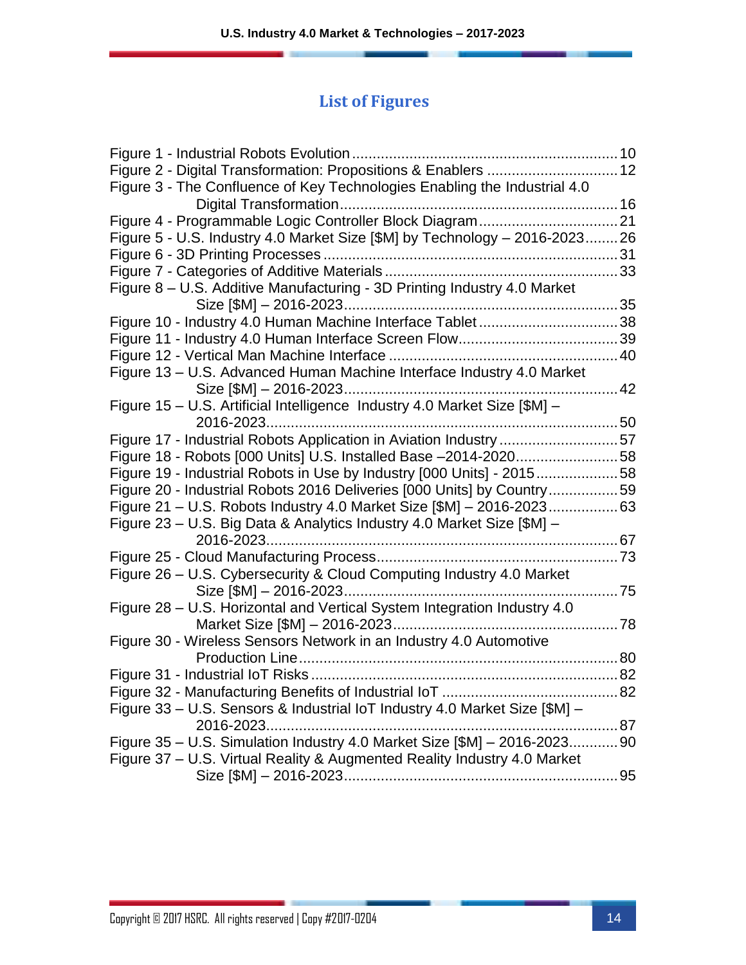### **List of Figures**

| Figure 3 - The Confluence of Key Technologies Enabling the Industrial 4.0  |  |
|----------------------------------------------------------------------------|--|
|                                                                            |  |
|                                                                            |  |
| Figure 5 - U.S. Industry 4.0 Market Size [\$M] by Technology - 2016-202326 |  |
|                                                                            |  |
|                                                                            |  |
| Figure 8 - U.S. Additive Manufacturing - 3D Printing Industry 4.0 Market   |  |
|                                                                            |  |
| Figure 10 - Industry 4.0 Human Machine Interface Tablet38                  |  |
|                                                                            |  |
|                                                                            |  |
| Figure 13 - U.S. Advanced Human Machine Interface Industry 4.0 Market      |  |
|                                                                            |  |
| Figure 15 - U.S. Artificial Intelligence Industry 4.0 Market Size [\$M] -  |  |
|                                                                            |  |
| Figure 17 - Industrial Robots Application in Aviation Industry 57          |  |
| Figure 18 - Robots [000 Units] U.S. Installed Base -2014-202058            |  |
| Figure 19 - Industrial Robots in Use by Industry [000 Units] - 201558      |  |
| Figure 20 - Industrial Robots 2016 Deliveries [000 Units] by Country59     |  |
| Figure 21 - U.S. Robots Industry 4.0 Market Size [\$M] - 2016-202363       |  |
| Figure 23 – U.S. Big Data & Analytics Industry 4.0 Market Size [\$M] –     |  |
|                                                                            |  |
|                                                                            |  |
| Figure 26 - U.S. Cybersecurity & Cloud Computing Industry 4.0 Market       |  |
|                                                                            |  |
| Figure 28 - U.S. Horizontal and Vertical System Integration Industry 4.0   |  |
|                                                                            |  |
| Figure 30 - Wireless Sensors Network in an Industry 4.0 Automotive         |  |
|                                                                            |  |
|                                                                            |  |
|                                                                            |  |
| Figure 33 - U.S. Sensors & Industrial IoT Industry 4.0 Market Size [\$M] - |  |
|                                                                            |  |
| Figure 35 - U.S. Simulation Industry 4.0 Market Size [\$M] - 2016-202390   |  |
| Figure 37 - U.S. Virtual Reality & Augmented Reality Industry 4.0 Market   |  |
|                                                                            |  |
|                                                                            |  |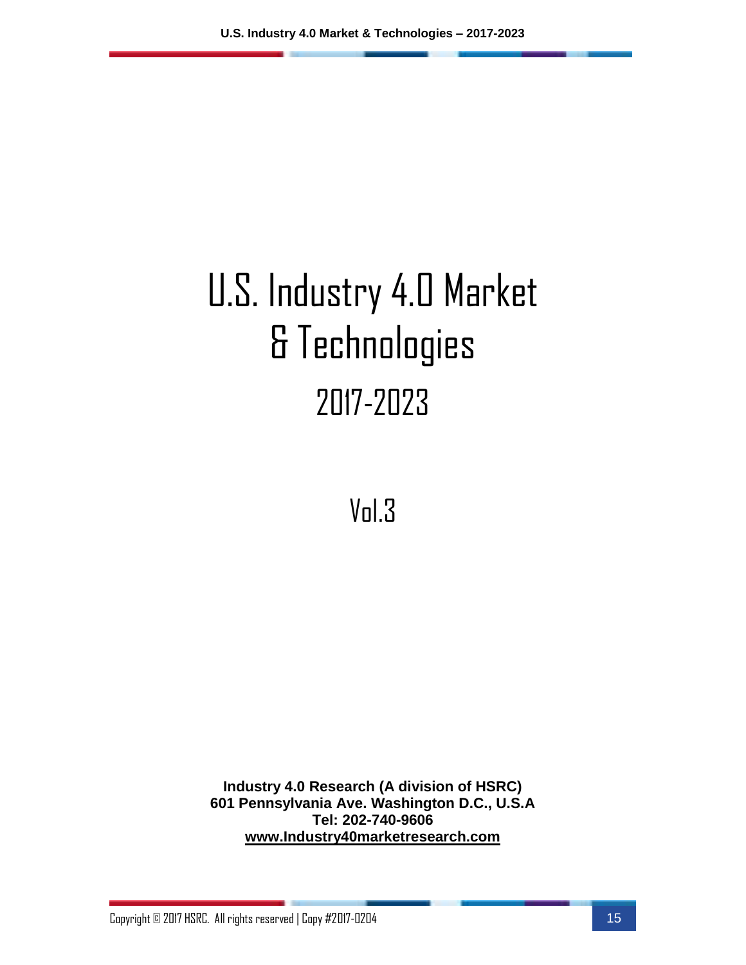# U.S. Industry 4.0 Market & Technologies 2017-2023

Vol.3

**Industry 4.0 Research (A division of HSRC) 601 Pennsylvania Ave. Washington D.C., U.S.A Tel: 202-740-9606 [www.Industry40marketresearch.com](http://www.industry40marketresearch.com/)**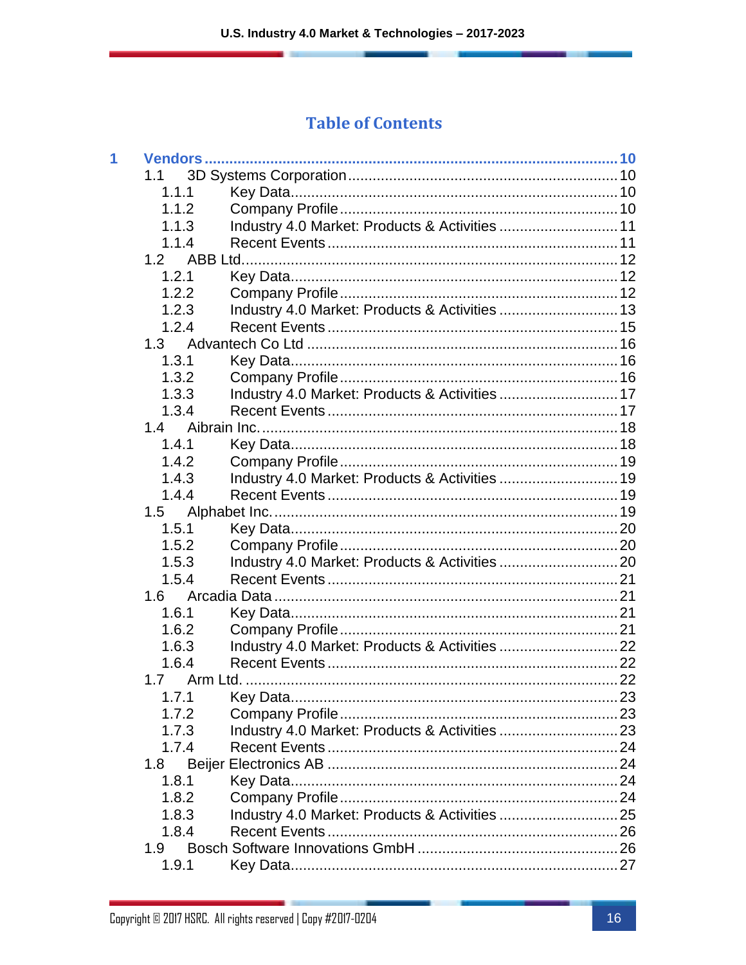#### **Table of Contents**

| 1 |       |                                                |  |
|---|-------|------------------------------------------------|--|
|   | 1.1   |                                                |  |
|   | 1.1.1 |                                                |  |
|   | 1.1.2 |                                                |  |
|   | 1.1.3 | Industry 4.0 Market: Products & Activities  11 |  |
|   | 1.1.4 |                                                |  |
|   | 1.2   |                                                |  |
|   | 1.2.1 |                                                |  |
|   | 1.2.2 |                                                |  |
|   | 1.2.3 | Industry 4.0 Market: Products & Activities  13 |  |
|   | 1.2.4 |                                                |  |
|   | 1.3   |                                                |  |
|   | 1.3.1 |                                                |  |
|   | 1.3.2 |                                                |  |
|   | 1.3.3 | Industry 4.0 Market: Products & Activities  17 |  |
|   | 1.3.4 |                                                |  |
|   | 1.4   |                                                |  |
|   | 1.4.1 |                                                |  |
|   | 1.4.2 |                                                |  |
|   | 1.4.3 |                                                |  |
|   | 1.4.4 |                                                |  |
|   | 1.5   |                                                |  |
|   | 1.5.1 |                                                |  |
|   | 1.5.2 |                                                |  |
|   | 1.5.3 |                                                |  |
|   | 1.5.4 |                                                |  |
|   | 1.6   |                                                |  |
|   | 1.6.1 |                                                |  |
|   | 1.6.2 |                                                |  |
|   | 1.6.3 |                                                |  |
|   | 1.6.4 |                                                |  |
|   | 1.7   |                                                |  |
|   | 1.7.1 |                                                |  |
|   | 1.7.2 |                                                |  |
|   | 1.7.3 |                                                |  |
|   | 1.7.4 |                                                |  |
|   | 1.8   |                                                |  |
|   | 1.8.1 |                                                |  |
|   | 1.8.2 |                                                |  |
|   | 1.8.3 |                                                |  |
|   | 1.8.4 |                                                |  |
|   | 1.9   |                                                |  |
|   | 1.9.1 |                                                |  |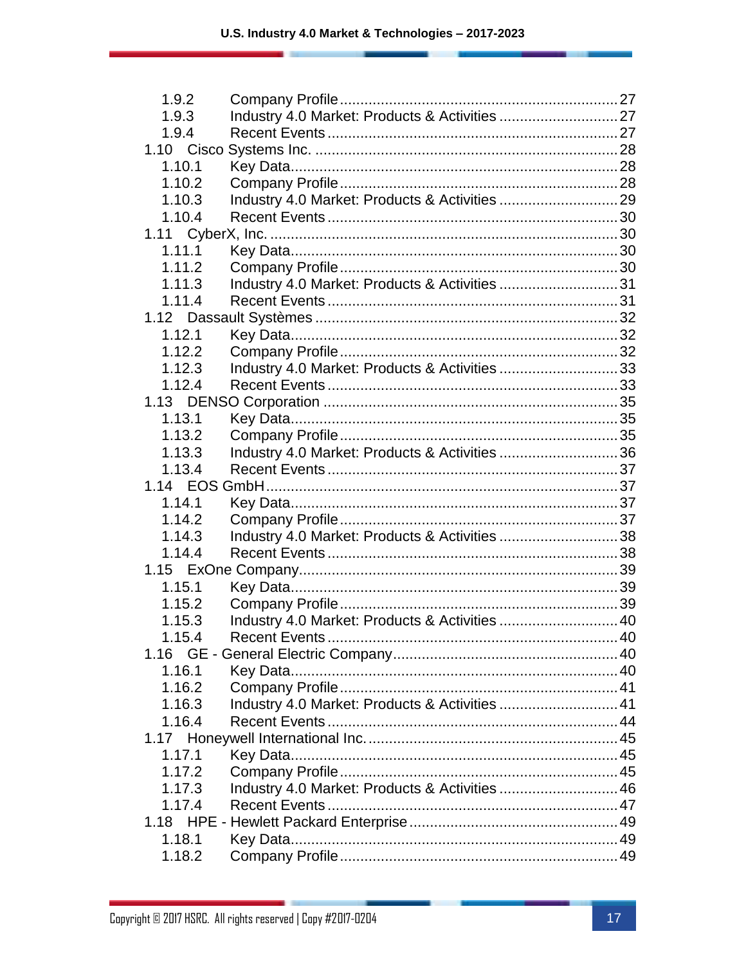| 1.9.2  |                                                |  |
|--------|------------------------------------------------|--|
| 1.9.3  | Industry 4.0 Market: Products & Activities  27 |  |
| 1.9.4  |                                                |  |
|        |                                                |  |
| 1.10.1 |                                                |  |
| 1.10.2 |                                                |  |
| 1.10.3 |                                                |  |
| 1.10.4 |                                                |  |
|        |                                                |  |
| 1.11.1 |                                                |  |
| 1.11.2 |                                                |  |
| 1.11.3 | Industry 4.0 Market: Products & Activities 31  |  |
| 1.11.4 |                                                |  |
|        |                                                |  |
| 1.12.1 |                                                |  |
| 1.12.2 |                                                |  |
| 1.12.3 | Industry 4.0 Market: Products & Activities 33  |  |
| 1.12.4 |                                                |  |
|        |                                                |  |
| 1.13.1 |                                                |  |
| 1.13.2 |                                                |  |
| 1.13.3 | Industry 4.0 Market: Products & Activities 36  |  |
| 1.13.4 |                                                |  |
|        |                                                |  |
| 1.14.1 |                                                |  |
| 1.14.2 |                                                |  |
| 1.14.3 | Industry 4.0 Market: Products & Activities 38  |  |
| 1.14.4 |                                                |  |
|        |                                                |  |
| 1.15.1 |                                                |  |
| 1.15.2 |                                                |  |
| 1.15.3 | Industry 4.0 Market: Products & Activities  40 |  |
| 1.15.4 |                                                |  |
|        |                                                |  |
| 1.16.1 |                                                |  |
| 1.16.2 |                                                |  |
| 1.16.3 | Industry 4.0 Market: Products & Activities  41 |  |
| 1.16.4 |                                                |  |
|        |                                                |  |
| 1.17.1 |                                                |  |
| 1.17.2 |                                                |  |
| 1.17.3 | Industry 4.0 Market: Products & Activities  46 |  |
| 1.17.4 |                                                |  |
|        |                                                |  |
| 1.18.1 |                                                |  |
| 1.18.2 |                                                |  |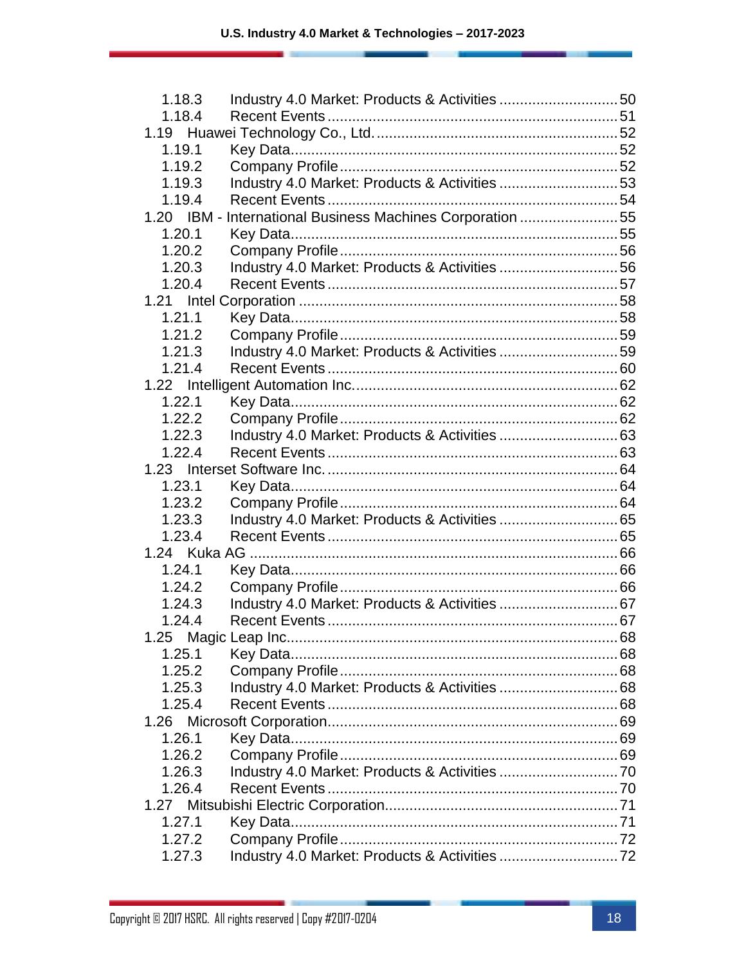| 1.18.3 | Industry 4.0 Market: Products & Activities 50             |  |
|--------|-----------------------------------------------------------|--|
| 1.18.4 |                                                           |  |
|        |                                                           |  |
| 1.19.1 |                                                           |  |
| 1.19.2 |                                                           |  |
| 1.19.3 | Industry 4.0 Market: Products & Activities 53             |  |
| 1.19.4 |                                                           |  |
|        | 1.20 IBM - International Business Machines Corporation 55 |  |
| 1.20.1 |                                                           |  |
| 1.20.2 |                                                           |  |
| 1.20.3 | Industry 4.0 Market: Products & Activities 56             |  |
| 1.20.4 |                                                           |  |
|        |                                                           |  |
| 1.21.1 |                                                           |  |
| 1.21.2 |                                                           |  |
| 1.21.3 | Industry 4.0 Market: Products & Activities 59             |  |
| 1.21.4 |                                                           |  |
|        |                                                           |  |
| 1.22.1 |                                                           |  |
| 1.22.2 |                                                           |  |
| 1.22.3 |                                                           |  |
| 1.22.4 |                                                           |  |
|        |                                                           |  |
| 1.23.1 |                                                           |  |
| 1.23.2 |                                                           |  |
| 1.23.3 |                                                           |  |
| 1.23.4 |                                                           |  |
|        |                                                           |  |
| 1.24.1 |                                                           |  |
| 1.24.2 |                                                           |  |
| 1.24.3 |                                                           |  |
| 1.24.4 |                                                           |  |
|        |                                                           |  |
| 1.25.1 |                                                           |  |
| 1.25.2 |                                                           |  |
| 1.25.3 |                                                           |  |
| 1.25.4 |                                                           |  |
|        |                                                           |  |
| 1.26.1 |                                                           |  |
| 1.26.2 |                                                           |  |
| 1.26.3 |                                                           |  |
| 1.26.4 |                                                           |  |
|        |                                                           |  |
| 1.27.1 |                                                           |  |
| 1.27.2 |                                                           |  |
| 1.27.3 |                                                           |  |
|        |                                                           |  |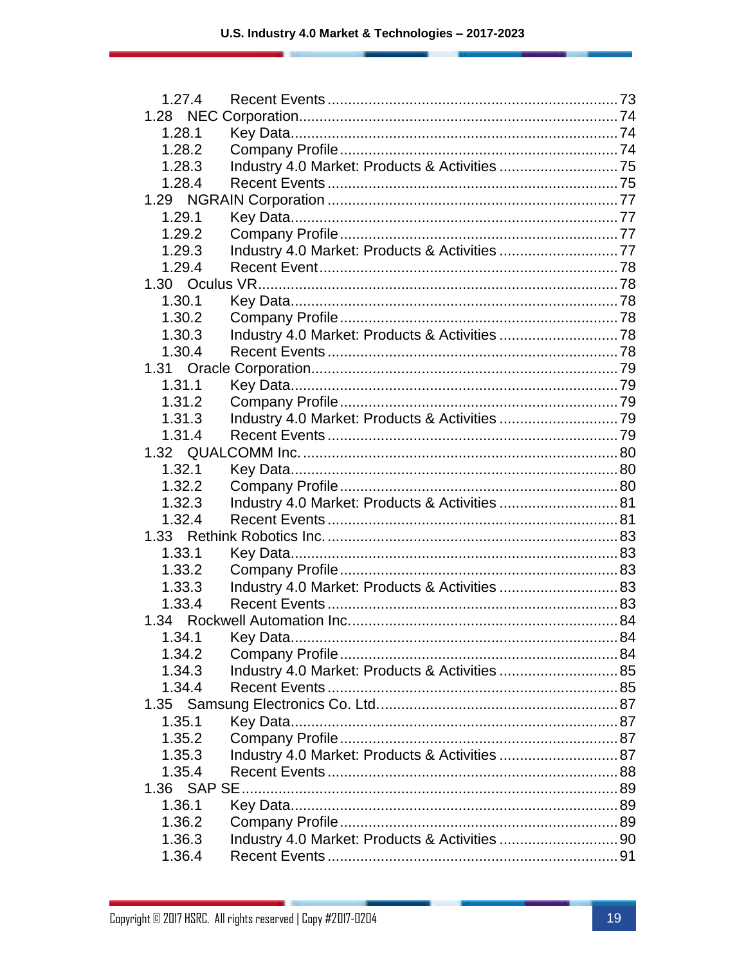| 1.27.4 |                                                |  |
|--------|------------------------------------------------|--|
|        |                                                |  |
| 1.28.1 |                                                |  |
| 1.28.2 |                                                |  |
| 1.28.3 |                                                |  |
| 1.28.4 |                                                |  |
|        |                                                |  |
| 1.29.1 |                                                |  |
| 1.29.2 |                                                |  |
| 1.29.3 | Industry 4.0 Market: Products & Activities 77  |  |
| 1.29.4 |                                                |  |
|        |                                                |  |
| 1.30.1 |                                                |  |
| 1.30.2 |                                                |  |
| 1.30.3 |                                                |  |
| 1.30.4 |                                                |  |
|        |                                                |  |
| 1.31.1 |                                                |  |
| 1.31.2 |                                                |  |
| 1.31.3 |                                                |  |
| 1.31.4 |                                                |  |
|        |                                                |  |
| 1.32.1 |                                                |  |
| 1.32.2 |                                                |  |
| 1.32.3 | Industry 4.0 Market: Products & Activities  81 |  |
| 1.32.4 |                                                |  |
|        |                                                |  |
| 1.33.1 |                                                |  |
| 1.33.2 |                                                |  |
| 1.33.3 | Industry 4.0 Market: Products & Activities  83 |  |
| 1.33.4 |                                                |  |
|        |                                                |  |
|        |                                                |  |
| 1.34.2 |                                                |  |
| 1.34.3 | Industry 4.0 Market: Products & Activities  85 |  |
| 1.34.4 |                                                |  |
|        |                                                |  |
| 1.35.1 |                                                |  |
| 1.35.2 |                                                |  |
| 1.35.3 | Industry 4.0 Market: Products & Activities 87  |  |
| 1.35.4 |                                                |  |
|        |                                                |  |
| 1.36.1 |                                                |  |
| 1.36.2 |                                                |  |
| 1.36.3 |                                                |  |
| 1.36.4 |                                                |  |
|        |                                                |  |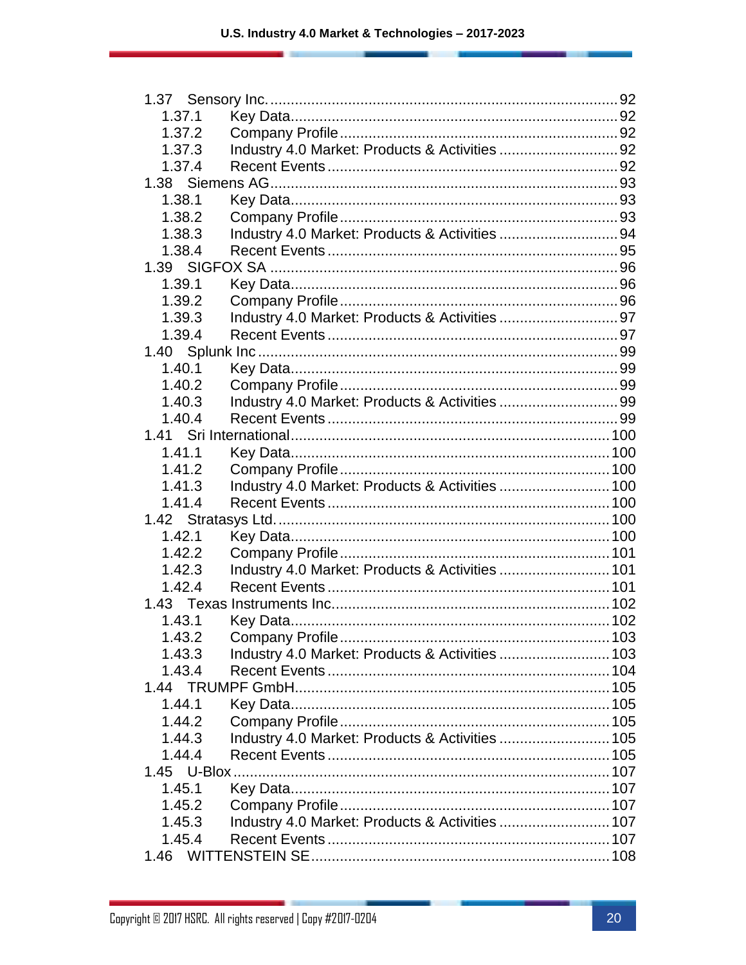| 1.37.1 |                                                 |  |
|--------|-------------------------------------------------|--|
| 1.37.2 |                                                 |  |
| 1.37.3 |                                                 |  |
| 1.37.4 |                                                 |  |
|        |                                                 |  |
| 1.38.1 |                                                 |  |
| 1.38.2 |                                                 |  |
| 1.38.3 | Industry 4.0 Market: Products & Activities 94   |  |
| 1.38.4 |                                                 |  |
|        |                                                 |  |
| 1.39.1 |                                                 |  |
| 1.39.2 |                                                 |  |
| 1.39.3 |                                                 |  |
| 1.39.4 |                                                 |  |
|        |                                                 |  |
| 1.40.1 |                                                 |  |
| 1.40.2 |                                                 |  |
| 1.40.3 |                                                 |  |
| 1.40.4 |                                                 |  |
|        |                                                 |  |
| 1.41.1 |                                                 |  |
| 1.41.2 |                                                 |  |
| 1.41.3 | Industry 4.0 Market: Products & Activities  100 |  |
| 1.41.4 |                                                 |  |
|        |                                                 |  |
| 1.42.1 |                                                 |  |
| 1.42.2 |                                                 |  |
| 1.42.3 | Industry 4.0 Market: Products & Activities  101 |  |
| 1.42.4 |                                                 |  |
|        |                                                 |  |
| 1.43.1 |                                                 |  |
| 1.43.2 |                                                 |  |
| 1.43.3 | Industry 4.0 Market: Products & Activities  103 |  |
| 1.43.4 |                                                 |  |
|        |                                                 |  |
| 1.44.1 |                                                 |  |
| 1.44.2 |                                                 |  |
| 1.44.3 | Industry 4.0 Market: Products & Activities  105 |  |
| 1.44.4 |                                                 |  |
|        |                                                 |  |
| 1.45.1 |                                                 |  |
| 1.45.2 |                                                 |  |
| 1.45.3 | Industry 4.0 Market: Products & Activities  107 |  |
| 1.45.4 |                                                 |  |
|        |                                                 |  |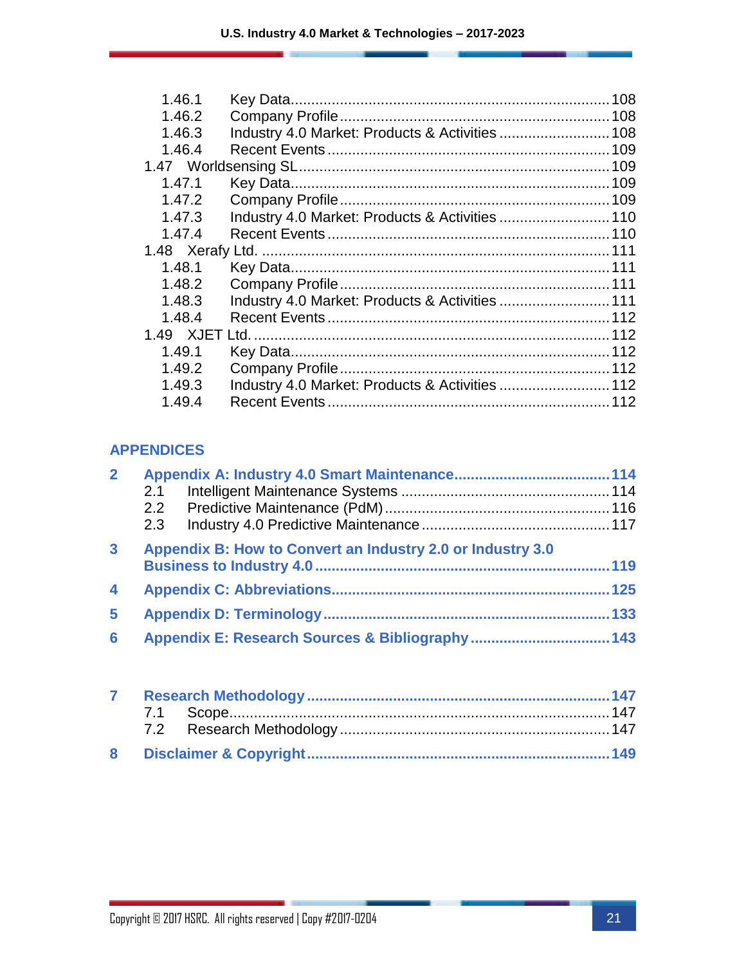| 1.46.1 |                                                 | 108 |
|--------|-------------------------------------------------|-----|
| 1.46.2 |                                                 |     |
| 1.46.3 |                                                 |     |
| 1.46.4 |                                                 |     |
|        |                                                 |     |
| 1.47.1 |                                                 |     |
| 1.47.2 |                                                 |     |
| 1.47.3 | Industry 4.0 Market: Products & Activities  110 |     |
| 1.47.4 |                                                 |     |
|        |                                                 |     |
| 1.48.1 |                                                 |     |
| 1.48.2 |                                                 |     |
| 1.48.3 | Industry 4.0 Market: Products & Activities  111 |     |
| 1.48.4 |                                                 |     |
|        |                                                 |     |
| 1.49.1 |                                                 |     |
| 1.49.2 |                                                 |     |
| 1.49.3 | Industry 4.0 Market: Products & Activities  112 |     |
| 1.49.4 |                                                 |     |
|        |                                                 |     |

#### **APPENDICES**

| $\overline{2}$          |     |                                                            |     |
|-------------------------|-----|------------------------------------------------------------|-----|
|                         | 2.1 |                                                            |     |
|                         |     |                                                            |     |
|                         | 2.3 |                                                            |     |
| $\mathbf{3}$            |     | Appendix B: How to Convert an Industry 2.0 or Industry 3.0 |     |
|                         |     |                                                            |     |
| $\overline{\mathbf{4}}$ |     |                                                            |     |
| 5                       |     |                                                            | 133 |
| 6                       |     |                                                            |     |